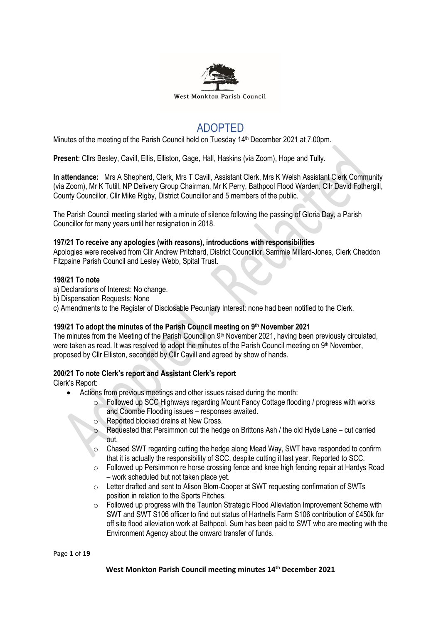

# ADOPTED

Minutes of the meeting of the Parish Council held on Tuesday 14<sup>th</sup> December 2021 at 7.00pm.

**Present:** Cllrs Besley, Cavill, Ellis, Elliston, Gage, Hall, Haskins (via Zoom), Hope and Tully.

**In attendance:** Mrs A Shepherd, Clerk, Mrs T Cavill, Assistant Clerk, Mrs K Welsh Assistant Clerk Community (via Zoom), Mr K Tutill, NP Delivery Group Chairman, Mr K Perry, Bathpool Flood Warden, Cllr David Fothergill, County Councillor, Cllr Mike Rigby, District Councillor and 5 members of the public.

The Parish Council meeting started with a minute of silence following the passing of Gloria Day, a Parish Councillor for many years until her resignation in 2018.

#### **197/21 To receive any apologies (with reasons), introductions with responsibilities**

Apologies were received from Cllr Andrew Pritchard, District Councillor, Sammie Millard-Jones, Clerk Cheddon Fitzpaine Parish Council and Lesley Webb, Spital Trust.

#### **198/21 To note**

- a) Declarations of Interest: No change.
- b) Dispensation Requests: None
- c) Amendments to the Register of Disclosable Pecuniary Interest: none had been notified to the Clerk.

# **199/21 To adopt the minutes of the Parish Council meeting on 9 th November 2021**

The minutes from the Meeting of the Parish Council on 9<sup>th</sup> November 2021, having been previously circulated, were taken as read. It was resolved to adopt the minutes of the Parish Council meeting on 9<sup>th</sup> November, proposed by Cllr Elliston, seconded by Cllr Cavill and agreed by show of hands.

# **200/21 To note Clerk's report and Assistant Clerk's report**

Clerk's Report:

- Actions from previous meetings and other issues raised during the month:
	- o Followed up SCC Highways regarding Mount Fancy Cottage flooding / progress with works and Coombe Flooding issues – responses awaited.
	- o Reported blocked drains at New Cross.
	- o Requested that Persimmon cut the hedge on Brittons Ash / the old Hyde Lane cut carried out.
	- $\circ$  Chased SWT regarding cutting the hedge along Mead Way, SWT have responded to confirm that it is actually the responsibility of SCC, despite cutting it last year. Reported to SCC.
	- $\circ$  Followed up Persimmon re horse crossing fence and knee high fencing repair at Hardys Road – work scheduled but not taken place yet.
	- o Letter drafted and sent to Alison Blom-Cooper at SWT requesting confirmation of SWTs position in relation to the Sports Pitches.
	- $\circ$  Followed up progress with the Taunton Strategic Flood Alleviation Improvement Scheme with SWT and SWT S106 officer to find out status of Hartnells Farm S106 contribution of £450k for off site flood alleviation work at Bathpool. Sum has been paid to SWT who are meeting with the Environment Agency about the onward transfer of funds.

Page **1** of **19**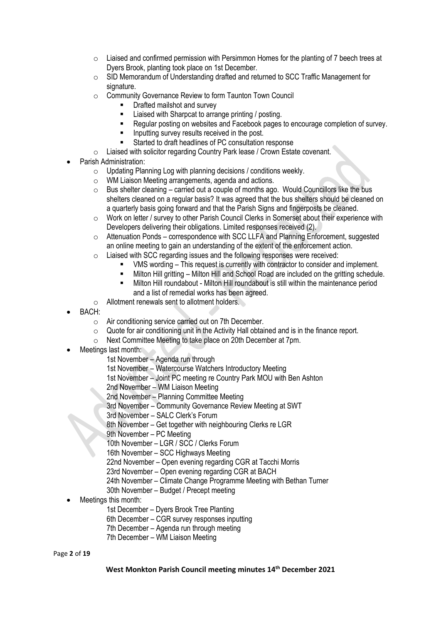- $\circ$  Liaised and confirmed permission with Persimmon Homes for the planting of 7 beech trees at Dyers Brook, planting took place on 1st December.
- o SID Memorandum of Understanding drafted and returned to SCC Traffic Management for signature.
- o Community Governance Review to form Taunton Town Council
	- Drafted mailshot and survey
	- Liaised with Sharpcat to arrange printing / posting.
	- Regular posting on websites and Facebook pages to encourage completion of survey.
	- Inputting survey results received in the post.
	- Started to draft headlines of PC consultation response
- o Liaised with solicitor regarding Country Park lease / Crown Estate covenant.
- Parish Administration:
	- $\circ$  Updating Planning Log with planning decisions / conditions weekly.
	- WM Liaison Meeting arrangements, agenda and actions.
	- $\circ$  Bus shelter cleaning carried out a couple of months ago. Would Councillors like the bus shelters cleaned on a regular basis? It was agreed that the bus shelters should be cleaned on a quarterly basis going forward and that the Parish Signs and fingerposts be cleaned.
	- $\circ$  Work on letter / survey to other Parish Council Clerks in Somerset about their experience with Developers delivering their obligations. Limited responses received (2).
	- $\circ$  Attenuation Ponds correspondence with SCC LLFA and Planning Enforcement, suggested an online meeting to gain an understanding of the extent of the enforcement action.
	- o Liaised with SCC regarding issues and the following responses were received:
		- VMS wording This request is currently with contractor to consider and implement.
		- Milton Hill gritting Milton Hill and School Road are included on the gritting schedule.
		- Milton Hill roundabout Milton Hill roundabout is still within the maintenance period and a list of remedial works has been agreed.
	- o Allotment renewals sent to allotment holders.
- BACH:
	- o Air conditioning service carried out on 7th December.
	- o Quote for air conditioning unit in the Activity Hall obtained and is in the finance report.
	- o Next Committee Meeting to take place on 20th December at 7pm.
- Meetings last month:
	- 1st November Agenda run through
	- 1st November Watercourse Watchers Introductory Meeting
	- 1st November Joint PC meeting re Country Park MOU with Ben Ashton
	- 2nd November WM Liaison Meeting
	- 2nd November Planning Committee Meeting
	- 3rd November Community Governance Review Meeting at SWT
	- 3rd November SALC Clerk's Forum
	- 8th November Get together with neighbouring Clerks re LGR
	- 9th November PC Meeting
	- 10th November LGR / SCC / Clerks Forum
	- 16th November SCC Highways Meeting
	- 22nd November Open evening regarding CGR at Tacchi Morris
	- 23rd November Open evening regarding CGR at BACH
	- 24th November Climate Change Programme Meeting with Bethan Turner
	- 30th November Budget / Precept meeting
- Meetings this month:
	- 1st December Dyers Brook Tree Planting
	- 6th December CGR survey responses inputting
	- 7th December Agenda run through meeting
	- 7th December WM Liaison Meeting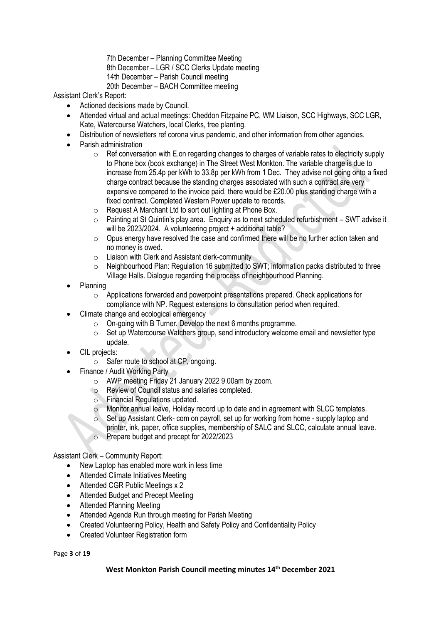- 7th December Planning Committee Meeting
- 8th December LGR / SCC Clerks Update meeting
- 14th December Parish Council meeting
- 20th December BACH Committee meeting

Assistant Clerk's Report:

- Actioned decisions made by Council.
- Attended virtual and actual meetings: Cheddon Fitzpaine PC, WM Liaison, SCC Highways, SCC LGR, Kate, Watercourse Watchers, local Clerks, tree planting.
- Distribution of newsletters ref corona virus pandemic, and other information from other agencies.
- Parish administration
	- $\circ$  Ref conversation with E.on regarding changes to charges of variable rates to electricity supply to Phone box (book exchange) in The Street West Monkton. The variable charge is due to increase from 25.4p per kWh to 33.8p per kWh from 1 Dec. They advise not going onto a fixed charge contract because the standing charges associated with such a contract are very expensive compared to the invoice paid, there would be £20.00 plus standing charge with a fixed contract. Completed Western Power update to records.
	- $\circ$  Request A Marchant Ltd to sort out lighting at Phone Box.
	- o Painting at St Quintin's play area. Enquiry as to next scheduled refurbishment SWT advise it will be 2023/2024. A volunteering project + additional table?
	- o Opus energy have resolved the case and confirmed there will be no further action taken and no money is owed.
	- o Liaison with Clerk and Assistant clerk-community
	- o Neighbourhood Plan: Regulation 16 submitted to SWT; information packs distributed to three Village Halls. Dialogue regarding the process of neighbourhood Planning.
- Planning
	- $\circ$  Applications forwarded and powerpoint presentations prepared. Check applications for compliance with NP. Request extensions to consultation period when required.
- Climate change and ecological emergency
	- $\circ$  On-going with B Turner. Develop the next 6 months programme.
	- o Set up Watercourse Watchers group, send introductory welcome email and newsletter type update.
- CIL projects:
	- o Safer route to school at CP, ongoing.
- Finance / Audit Working Party
	- o AWP meeting Friday 21 January 2022 9.00am by zoom.
	- o Review of Council status and salaries completed.
	- o Financial Regulations updated.
	- Monitor annual leave, Holiday record up to date and in agreement with SLCC templates.
	- $\circ$  Set up Assistant Clerk- com on payroll, set up for working from home supply laptop and printer, ink, paper, office supplies, membership of SALC and SLCC, calculate annual leave.
	- o Prepare budget and precept for 2022/2023

Assistant Clerk – Community Report:

- New Laptop has enabled more work in less time
- Attended Climate Initiatives Meeting
- Attended CGR Public Meetings x 2
- Attended Budget and Precept Meeting
- Attended Planning Meeting
- Attended Agenda Run through meeting for Parish Meeting
- Created Volunteering Policy, Health and Safety Policy and Confidentiality Policy
- Created Volunteer Registration form

Page **3** of **19**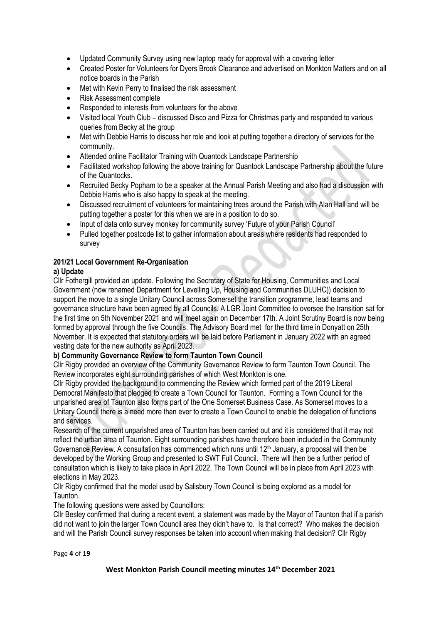- Updated Community Survey using new laptop ready for approval with a covering letter
- Created Poster for Volunteers for Dyers Brook Clearance and advertised on Monkton Matters and on all notice boards in the Parish
- Met with Kevin Perry to finalised the risk assessment
- Risk Assessment complete
- Responded to interests from volunteers for the above
- Visited local Youth Club discussed Disco and Pizza for Christmas party and responded to various queries from Becky at the group
- Met with Debbie Harris to discuss her role and look at putting together a directory of services for the community.
- Attended online Facilitator Training with Quantock Landscape Partnership
- Facilitated workshop following the above training for Quantock Landscape Partnership about the future of the Quantocks.
- Recruited Becky Popham to be a speaker at the Annual Parish Meeting and also had a discussion with Debbie Harris who is also happy to speak at the meeting.
- Discussed recruitment of volunteers for maintaining trees around the Parish with Alan Hall and will be putting together a poster for this when we are in a position to do so.
- Input of data onto survey monkey for community survey 'Future of your Parish Council'
- Pulled together postcode list to gather information about areas where residents had responded to survey

# **201/21 Local Government Re-Organisation**

# **a) Update**

Cllr Fothergill provided an update. Following the Secretary of State for Housing, Communities and Local Government (now renamed Department for Levelling Up, Housing and Communities DLUHC)) decision to support the move to a single Unitary Council across Somerset the transition programme, lead teams and governance structure have been agreed by all Councils. A LGR Joint Committee to oversee the transition sat for the first time on 5th November 2021 and will meet again on December 17th. A Joint Scrutiny Board is now being formed by approval through the five Councils. The Advisory Board met for the third time in Donyatt on 25th November. It is expected that statutory orders will be laid before Parliament in January 2022 with an agreed vesting date for the new authority as April 2023.

# **b) Community Governance Review to form Taunton Town Council**

Cllr Rigby provided an overview of the Community Governance Review to form Taunton Town Council. The Review incorporates eight surrounding parishes of which West Monkton is one.

Cllr Rigby provided the background to commencing the Review which formed part of the 2019 Liberal Democrat Manifesto that pledged to create a Town Council for Taunton. Forming a Town Council for the unparished area of Taunton also forms part of the One Somerset Business Case. As Somerset moves to a Unitary Council there is a need more than ever to create a Town Council to enable the delegation of functions and services.

Research of the current unparished area of Taunton has been carried out and it is considered that it may not reflect the urban area of Taunton. Eight surrounding parishes have therefore been included in the Community Governance Review. A consultation has commenced which runs until 12<sup>th</sup> January, a proposal will then be developed by the Working Group and presented to SWT Full Council. There will then be a further period of consultation which is likely to take place in April 2022. The Town Council will be in place from April 2023 with elections in May 2023.

Cllr Rigby confirmed that the model used by Salisbury Town Council is being explored as a model for Taunton.

The following questions were asked by Councillors:

Cllr Besley confirmed that during a recent event, a statement was made by the Mayor of Taunton that if a parish did not want to join the larger Town Council area they didn't have to. Is that correct? Who makes the decision and will the Parish Council survey responses be taken into account when making that decision? Cllr Rigby

Page **4** of **19**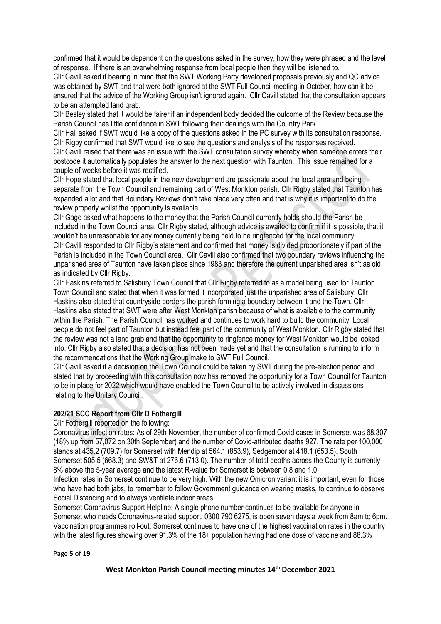confirmed that it would be dependent on the questions asked in the survey, how they were phrased and the level of response. If there is an overwhelming response from local people then they will be listened to.

Cllr Cavill asked if bearing in mind that the SWT Working Party developed proposals previously and QC advice was obtained by SWT and that were both ignored at the SWT Full Council meeting in October, how can it be ensured that the advice of the Working Group isn't ignored again. Cllr Cavill stated that the consultation appears to be an attempted land grab.

Cllr Besley stated that it would be fairer if an independent body decided the outcome of the Review because the Parish Council has little confidence in SWT following their dealings with the Country Park.

Cllr Hall asked if SWT would like a copy of the questions asked in the PC survey with its consultation response. Cllr Rigby confirmed that SWT would like to see the questions and analysis of the responses received.

Cllr Cavill raised that there was an issue with the SWT consultation survey whereby when someone enters their postcode it automatically populates the answer to the next question with Taunton. This issue remained for a couple of weeks before it was rectified.

Cllr Hope stated that local people in the new development are passionate about the local area and being separate from the Town Council and remaining part of West Monkton parish. Cllr Rigby stated that Taunton has expanded a lot and that Boundary Reviews don't take place very often and that is why it is important to do the review properly whilst the opportunity is available.

Cllr Gage asked what happens to the money that the Parish Council currently holds should the Parish be included in the Town Council area. Cllr Rigby stated, although advice is awaited to confirm if it is possible, that it wouldn't be unreasonable for any money currently being held to be ringfenced for the local community. Cllr Cavill responded to Cllr Rigby's statement and confirmed that money is divided proportionately if part of the Parish is included in the Town Council area. Cllr Cavill also confirmed that two boundary reviews influencing the unparished area of Taunton have taken place since 1983 and therefore the current unparished area isn't as old as indicated by Cllr Rigby.

Cllr Haskins referred to Salisbury Town Council that Cllr Rigby referred to as a model being used for Taunton Town Council and stated that when it was formed it incorporated just the unparished area of Salisbury. Cllr Haskins also stated that countryside borders the parish forming a boundary between it and the Town. Cllr Haskins also stated that SWT were after West Monkton parish because of what is available to the community within the Parish. The Parish Council has worked and continues to work hard to build the community. Local people do not feel part of Taunton but instead feel part of the community of West Monkton. Cllr Rigby stated that the review was not a land grab and that the opportunity to ringfence money for West Monkton would be looked into. Cllr Rigby also stated that a decision has not been made yet and that the consultation is running to inform the recommendations that the Working Group make to SWT Full Council.

Cllr Cavill asked if a decision on the Town Council could be taken by SWT during the pre-election period and stated that by proceeding with this consultation now has removed the opportunity for a Town Council for Taunton to be in place for 2022 which would have enabled the Town Council to be actively involved in discussions relating to the Unitary Council.

#### **202/21 SCC Report from Cllr D Fothergill**

#### Cllr Fothergill reported on the following:

Coronavirus infection rates: As of 29th November, the number of confirmed Covid cases in Somerset was 68,307 (18% up from 57,072 on 30th September) and the number of Covid-attributed deaths 927. The rate per 100,000 stands at 435.2 (709.7) for Somerset with Mendip at 564.1 (853.9), Sedgemoor at 418.1 (653.5), South Somerset 505.5 (668.3) and SW&T at 276.6 (713.0). The number of total deaths across the County is currently 8% above the 5-year average and the latest R-value for Somerset is between 0.8 and 1.0.

Infection rates in Somerset continue to be very high. With the new Omicron variant it is important, even for those who have had both jabs, to remember to follow Government guidance on wearing masks, to continue to observe Social Distancing and to always ventilate indoor areas.

Somerset Coronavirus Support Helpline: A single phone number continues to be available for anyone in Somerset who needs Coronavirus-related support. 0300 790 6275, is open seven days a week from 8am to 6pm. Vaccination programmes roll-out: Somerset continues to have one of the highest vaccination rates in the country with the latest figures showing over 91.3% of the 18+ population having had one dose of vaccine and 88.3%

Page **5** of **19**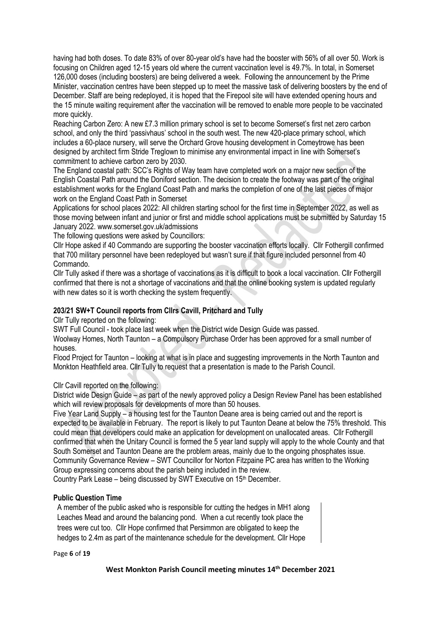having had both doses. To date 83% of over 80-year old's have had the booster with 56% of all over 50. Work is focusing on Children aged 12-15 years old where the current vaccination level is 49.7%. In total, in Somerset 126,000 doses (including boosters) are being delivered a week. Following the announcement by the Prime Minister, vaccination centres have been stepped up to meet the massive task of delivering boosters by the end of December. Staff are being redeployed, it is hoped that the Firepool site will have extended opening hours and the 15 minute waiting requirement after the vaccination will be removed to enable more people to be vaccinated more quickly.

Reaching Carbon Zero: A new £7.3 million primary school is set to become Somerset's first net zero carbon school, and only the third 'passivhaus' school in the south west. The new 420-place primary school, which includes a 60-place nursery, will serve the Orchard Grove housing development in Comeytrowe has been designed by architect firm Stride Treglown to minimise any environmental impact in line with Somerset's commitment to achieve carbon zero by 2030.

The England coastal path: SCC's Rights of Way team have completed work on a major new section of the English Coastal Path around the Doniford section. The decision to create the footway was part of the original establishment works for the England Coast Path and marks the completion of one of the last pieces of major work on the England Coast Path in Somerset

Applications for school places 2022: All children starting school for the first time in September 2022, as well as those moving between infant and junior or first and middle school applications must be submitted by Saturday 15 January 2022[. www.somerset.gov.uk/admissions](http://www.somerset.gov.uk/admissions)

The following questions were asked by Councillors:

Cllr Hope asked if 40 Commando are supporting the booster vaccination efforts locally. Cllr Fothergill confirmed that 700 military personnel have been redeployed but wasn't sure if that figure included personnel from 40 Commando.

Cllr Tully asked if there was a shortage of vaccinations as it is difficult to book a local vaccination. Cllr Fothergill confirmed that there is not a shortage of vaccinations and that the online booking system is updated regularly with new dates so it is worth checking the system frequently.

# **203/21 SW+T Council reports from Cllrs Cavill, Pritchard and Tully**

Cllr Tully reported on the following:

SWT Full Council - took place last week when the District wide Design Guide was passed.

Woolway Homes, North Taunton – a Compulsory Purchase Order has been approved for a small number of houses.

Flood Project for Taunton – looking at what is in place and suggesting improvements in the North Taunton and Monkton Heathfield area. Cllr Tully to request that a presentation is made to the Parish Council.

# Cllr Cavill reported on the following:

District wide Design Guide – as part of the newly approved policy a Design Review Panel has been established which will review proposals for developments of more than 50 houses.

Five Year Land Supply – a housing test for the Taunton Deane area is being carried out and the report is expected to be available in February. The report is likely to put Taunton Deane at below the 75% threshold. This could mean that developers could make an application for development on unallocated areas. Cllr Fothergill confirmed that when the Unitary Council is formed the 5 year land supply will apply to the whole County and that South Somerset and Taunton Deane are the problem areas, mainly due to the ongoing phosphates issue. Community Governance Review – SWT Councillor for Norton Fitzpaine PC area has written to the Working Group expressing concerns about the parish being included in the review.

Country Park Lease – being discussed by SWT Executive on 15<sup>th</sup> December.

# **Public Question Time**

A member of the public asked who is responsible for cutting the hedges in MH1 along Leaches Mead and around the balancing pond. When a cut recently took place the trees were cut too. Cllr Hope confirmed that Persimmon are obligated to keep the hedges to 2.4m as part of the maintenance schedule for the development. Cllr Hope

Page **6** of **19**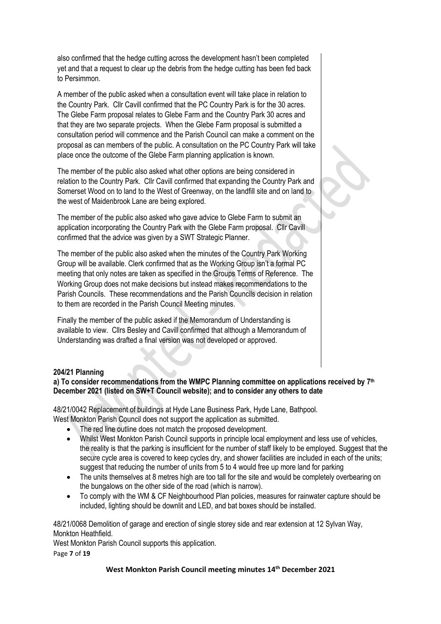also confirmed that the hedge cutting across the development hasn't been completed yet and that a request to clear up the debris from the hedge cutting has been fed back to Persimmon.

A member of the public asked when a consultation event will take place in relation to the Country Park. Cllr Cavill confirmed that the PC Country Park is for the 30 acres. The Glebe Farm proposal relates to Glebe Farm and the Country Park 30 acres and that they are two separate projects. When the Glebe Farm proposal is submitted a consultation period will commence and the Parish Council can make a comment on the proposal as can members of the public. A consultation on the PC Country Park will take place once the outcome of the Glebe Farm planning application is known.

The member of the public also asked what other options are being considered in relation to the Country Park. Cllr Cavill confirmed that expanding the Country Park and Somerset Wood on to land to the West of Greenway, on the landfill site and on land to the west of Maidenbrook Lane are being explored.

The member of the public also asked who gave advice to Glebe Farm to submit an application incorporating the Country Park with the Glebe Farm proposal. Cllr Cavill confirmed that the advice was given by a SWT Strategic Planner.

The member of the public also asked when the minutes of the Country Park Working Group will be available. Clerk confirmed that as the Working Group isn't a formal PC meeting that only notes are taken as specified in the Groups Terms of Reference. The Working Group does not make decisions but instead makes recommendations to the Parish Councils. These recommendations and the Parish Councils decision in relation to them are recorded in the Parish Council Meeting minutes.

Finally the member of the public asked if the Memorandum of Understanding is available to view. Cllrs Besley and Cavill confirmed that although a Memorandum of Understanding was drafted a final version was not developed or approved.

# **204/21 Planning**

# **a) To consider recommendations from the WMPC Planning committee on applications received by 7 th December 2021 (listed on SW+T Council website); and to consider any others to date**

48/21/0042 Replacement of buildings at Hyde Lane Business Park, Hyde Lane, Bathpool. West Monkton Parish Council does not support the application as submitted.

- The red line outline does not match the proposed development.
- Whilst West Monkton Parish Council supports in principle local employment and less use of vehicles, the reality is that the parking is insufficient for the number of staff likely to be employed. Suggest that the secure cycle area is covered to keep cycles dry, and shower facilities are included in each of the units; suggest that reducing the number of units from 5 to 4 would free up more land for parking
- The units themselves at 8 metres high are too tall for the site and would be completely overbearing on the bungalows on the other side of the road (which is narrow).
- To comply with the WM & CF Neighbourhood Plan policies, measures for rainwater capture should be included, lighting should be downlit and LED, and bat boxes should be installed.

48/21/0068 Demolition of garage and erection of single storey side and rear extension at 12 Sylvan Way, Monkton Heathfield.

West Monkton Parish Council supports this application.

Page **7** of **19**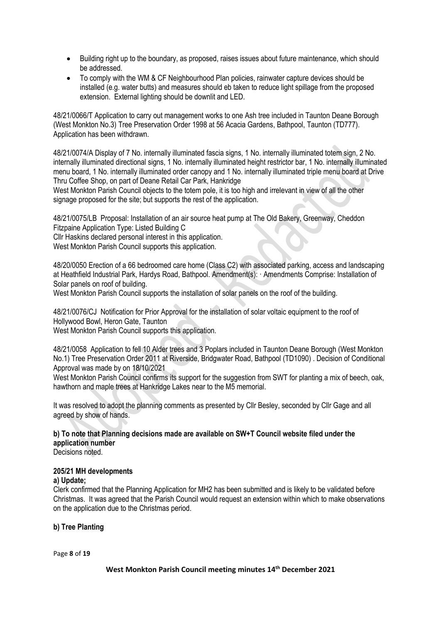- Building right up to the boundary, as proposed, raises issues about future maintenance, which should be addressed.
- To comply with the WM & CF Neighbourhood Plan policies, rainwater capture devices should be installed (e.g. water butts) and measures should eb taken to reduce light spillage from the proposed extension. External lighting should be downlit and LED.

48/21/0066/T Application to carry out management works to one Ash tree included in Taunton Deane Borough (West Monkton No.3) Tree Preservation Order 1998 at 56 Acacia Gardens, Bathpool, Taunton (TD777). Application has been withdrawn.

48/21/0074/A Display of 7 No. internally illuminated fascia signs, 1 No. internally illuminated totem sign, 2 No. internally illuminated directional signs, 1 No. internally illuminated height restrictor bar, 1 No. internally illuminated menu board, 1 No. internally illuminated order canopy and 1 No. internally illuminated triple menu board at Drive Thru Coffee Shop, on part of Deane Retail Car Park, Hankridge

West Monkton Parish Council objects to the totem pole, it is too high and irrelevant in view of all the other signage proposed for the site; but supports the rest of the application.

48/21/0075/LB Proposal: Installation of an air source heat pump at The Old Bakery, Greenway, Cheddon Fitzpaine Application Type: Listed Building C

Cllr Haskins declared personal interest in this application.

West Monkton Parish Council supports this application.

48/20/0050 Erection of a 66 bedroomed care home (Class C2) with associated parking, access and landscaping at Heathfield Industrial Park, Hardys Road, Bathpool. Amendment(s): · Amendments Comprise: Installation of Solar panels on roof of building.

West Monkton Parish Council supports the installation of solar panels on the roof of the building.

48/21/0076/CJ Notification for Prior Approval for the installation of solar voltaic equipment to the roof of Hollywood Bowl, Heron Gate, Taunton

West Monkton Parish Council supports this application.

48/21/0058 Application to fell 10 Alder trees and 3 Poplars included in Taunton Deane Borough (West Monkton No.1) Tree Preservation Order 2011 at Riverside, Bridgwater Road, Bathpool (TD1090) . Decision of Conditional Approval was made by on 18/10/2021

West Monkton Parish Council confirms its support for the suggestion from SWT for planting a mix of beech, oak, hawthorn and maple trees at Hankridge Lakes near to the M5 memorial.

It was resolved to adopt the planning comments as presented by Cllr Besley, seconded by Cllr Gage and all agreed by show of hands.

**b) To note that Planning decisions made are available on SW+T Council website filed under the application number**

Decisions noted.

#### **205/21 MH developments**

#### **a) Update;**

Clerk confirmed that the Planning Application for MH2 has been submitted and is likely to be validated before Christmas. It was agreed that the Parish Council would request an extension within which to make observations on the application due to the Christmas period.

#### **b) Tree Planting**

Page **8** of **19**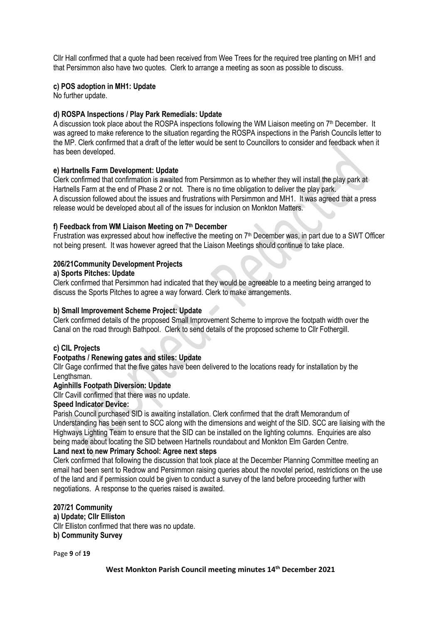Cllr Hall confirmed that a quote had been received from Wee Trees for the required tree planting on MH1 and that Persimmon also have two quotes. Clerk to arrange a meeting as soon as possible to discuss.

#### **c) POS adoption in MH1: Update**

No further update.

#### **d) ROSPA Inspections / Play Park Remedials: Update**

A discussion took place about the ROSPA inspections following the WM Liaison meeting on  $7<sup>th</sup>$  December. It was agreed to make reference to the situation regarding the ROSPA inspections in the Parish Councils letter to the MP. Clerk confirmed that a draft of the letter would be sent to Councillors to consider and feedback when it has been developed.

#### **e) Hartnells Farm Development: Update**

Clerk confirmed that confirmation is awaited from Persimmon as to whether they will install the play park at Hartnells Farm at the end of Phase 2 or not. There is no time obligation to deliver the play park. A discussion followed about the issues and frustrations with Persimmon and MH1. It was agreed that a press release would be developed about all of the issues for inclusion on Monkton Matters.

#### **f) Feedback from WM Liaison Meeting on 7 th December**

Frustration was expressed about how ineffective the meeting on 7th December was, in part due to a SWT Officer not being present. It was however agreed that the Liaison Meetings should continue to take place.

#### **206/21Community Development Projects**

#### **a) Sports Pitches: Update**

Clerk confirmed that Persimmon had indicated that they would be agreeable to a meeting being arranged to discuss the Sports Pitches to agree a way forward. Clerk to make arrangements.

#### **b) Small Improvement Scheme Project: Update**

Clerk confirmed details of the proposed Small Improvement Scheme to improve the footpath width over the Canal on the road through Bathpool. Clerk to send details of the proposed scheme to Cllr Fothergill.

#### **c) CIL Projects**

#### **Footpaths / Renewing gates and stiles: Update**

Cllr Gage confirmed that the five gates have been delivered to the locations ready for installation by the Lengthsman.

#### **Aginhills Footpath Diversion: Update**

Cllr Cavill confirmed that there was no update.

#### **Speed Indicator Device:**

Parish Council purchased SID is awaiting installation. Clerk confirmed that the draft Memorandum of Understanding has been sent to SCC along with the dimensions and weight of the SID. SCC are liaising with the Highways Lighting Team to ensure that the SID can be installed on the lighting columns. Enquiries are also being made about locating the SID between Hartnells roundabout and Monkton Elm Garden Centre.

#### **Land next to new Primary School: Agree next steps**

Clerk confirmed that following the discussion that took place at the December Planning Committee meeting an email had been sent to Redrow and Persimmon raising queries about the novotel period, restrictions on the use of the land and if permission could be given to conduct a survey of the land before proceeding further with negotiations. A response to the queries raised is awaited.

### **207/21 Community**

**a) Update; Cllr Elliston** Cllr Elliston confirmed that there was no update. **b) Community Survey**

Page **9** of **19**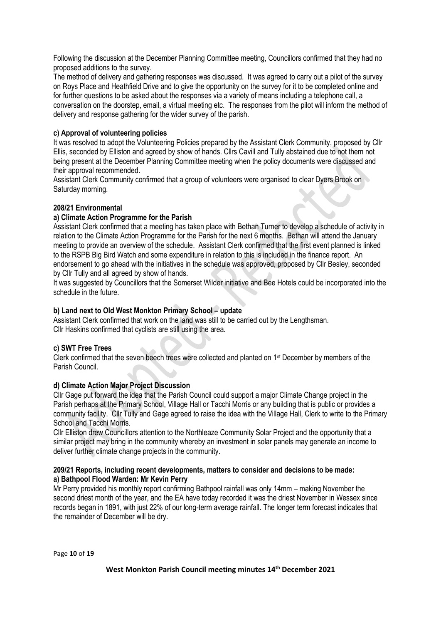Following the discussion at the December Planning Committee meeting, Councillors confirmed that they had no proposed additions to the survey.

The method of delivery and gathering responses was discussed. It was agreed to carry out a pilot of the survey on Roys Place and Heathfield Drive and to give the opportunity on the survey for it to be completed online and for further questions to be asked about the responses via a variety of means including a telephone call, a conversation on the doorstep, email, a virtual meeting etc. The responses from the pilot will inform the method of delivery and response gathering for the wider survey of the parish.

# **c) Approval of volunteering policies**

It was resolved to adopt the Volunteering Policies prepared by the Assistant Clerk Community, proposed by Cllr Ellis, seconded by Elliston and agreed by show of hands. Cllrs Cavill and Tully abstained due to not them not being present at the December Planning Committee meeting when the policy documents were discussed and their approval recommended.

Assistant Clerk Community confirmed that a group of volunteers were organised to clear Dyers Brook on Saturday morning.

#### **208/21 Environmental**

#### **a) Climate Action Programme for the Parish**

Assistant Clerk confirmed that a meeting has taken place with Bethan Turner to develop a schedule of activity in relation to the Climate Action Programme for the Parish for the next 6 months. Bethan will attend the January meeting to provide an overview of the schedule. Assistant Clerk confirmed that the first event planned is linked to the RSPB Big Bird Watch and some expenditure in relation to this is included in the finance report. An endorsement to go ahead with the initiatives in the schedule was approved, proposed by Cllr Besley, seconded by Cllr Tully and all agreed by show of hands.

It was suggested by Councillors that the Somerset Wilder initiative and Bee Hotels could be incorporated into the schedule in the future.

#### **b) Land next to Old West Monkton Primary School – update**

Assistant Clerk confirmed that work on the land was still to be carried out by the Lengthsman. Cllr Haskins confirmed that cyclists are still using the area.

#### **c) SWT Free Trees**

Clerk confirmed that the seven beech trees were collected and planted on 1st December by members of the Parish Council.

#### **d) Climate Action Major Project Discussion**

Cllr Gage put forward the idea that the Parish Council could support a major Climate Change project in the Parish perhaps at the Primary School, Village Hall or Tacchi Morris or any building that is public or provides a community facility. Cllr Tully and Gage agreed to raise the idea with the Village Hall, Clerk to write to the Primary School and Tacchi Morris.

Cllr Elliston drew Councillors attention to the Northleaze Community Solar Project and the opportunity that a similar project may bring in the community whereby an investment in solar panels may generate an income to deliver further climate change projects in the community.

#### **209/21 Reports, including recent developments, matters to consider and decisions to be made: a) Bathpool Flood Warden: Mr Kevin Perry**

Mr Perry provided his monthly report confirming Bathpool rainfall was only 14mm – making November the second driest month of the year, and the EA have today recorded it was the driest November in Wessex since records began in 1891, with just 22% of our long-term average rainfall. The longer term forecast indicates that the remainder of December will be dry.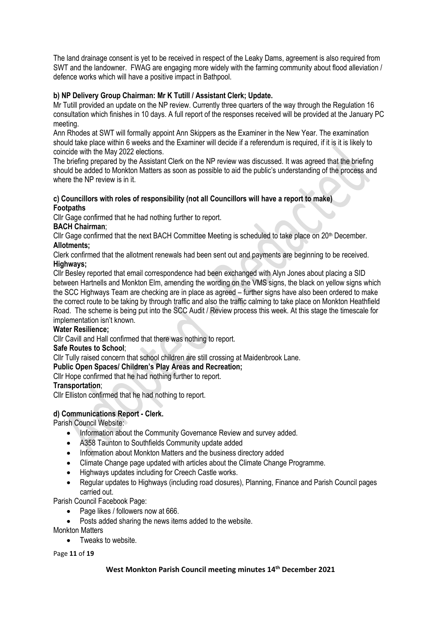The land drainage consent is yet to be received in respect of the Leaky Dams, agreement is also required from SWT and the landowner. FWAG are engaging more widely with the farming community about flood alleviation / defence works which will have a positive impact in Bathpool.

# **b) NP Delivery Group Chairman: Mr K Tutill / Assistant Clerk; Update.**

Mr Tutill provided an update on the NP review. Currently three quarters of the way through the Regulation 16 consultation which finishes in 10 days. A full report of the responses received will be provided at the January PC meeting.

Ann Rhodes at SWT will formally appoint Ann Skippers as the Examiner in the New Year. The examination should take place within 6 weeks and the Examiner will decide if a referendum is required, if it is it is likely to coincide with the May 2022 elections.

The briefing prepared by the Assistant Clerk on the NP review was discussed. It was agreed that the briefing should be added to Monkton Matters as soon as possible to aid the public's understanding of the process and where the NP review is in it.

#### **c) Councillors with roles of responsibility (not all Councillors will have a report to make) Footpaths**

Cllr Gage confirmed that he had nothing further to report.

# **BACH Chairman**;

Cllr Gage confirmed that the next BACH Committee Meeting is scheduled to take place on 20<sup>th</sup> December. **Allotments;**

Clerk confirmed that the allotment renewals had been sent out and payments are beginning to be received. **Highways;**

Cllr Besley reported that email correspondence had been exchanged with Alyn Jones about placing a SID between Hartnells and Monkton Elm, amending the wording on the VMS signs, the black on yellow signs which the SCC Highways Team are checking are in place as agreed – further signs have also been ordered to make the correct route to be taking by through traffic and also the traffic calming to take place on Monkton Heathfield Road. The scheme is being put into the SCC Audit / Review process this week. At this stage the timescale for implementation isn't known.

#### **Water Resilience;**

Cllr Cavill and Hall confirmed that there was nothing to report.

#### **Safe Routes to School**;

Cllr Tully raised concern that school children are still crossing at Maidenbrook Lane.

#### **Public Open Spaces/ Children's Play Areas and Recreation;**

Cllr Hope confirmed that he had nothing further to report.

#### **Transportation**;

Cllr Elliston confirmed that he had nothing to report.

# **d) Communications Report - Clerk.**

Parish Council Website:

- Information about the Community Governance Review and survey added.
- A358 Taunton to Southfields Community update added
- Information about Monkton Matters and the business directory added
- Climate Change page updated with articles about the Climate Change Programme.
- Highways updates including for Creech Castle works.
- Regular updates to Highways (including road closures), Planning, Finance and Parish Council pages carried out.

Parish Council Facebook Page:

- Page likes / followers now at 666.
- Posts added sharing the news items added to the website.
- Monkton Matters
	- Tweaks to website.

Page **11** of **19**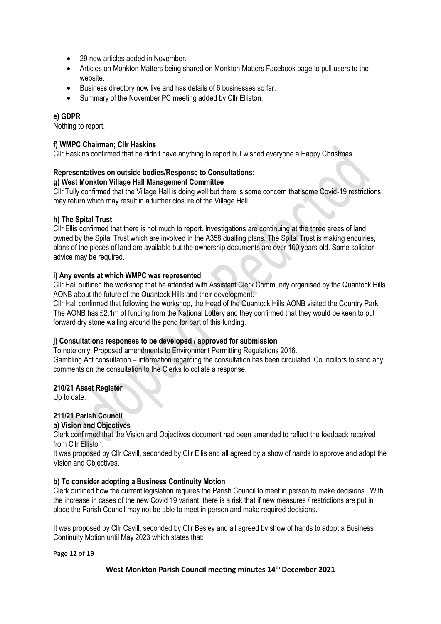- 29 new articles added in November.
- Articles on Monkton Matters being shared on Monkton Matters Facebook page to pull users to the website.
- Business directory now live and has details of 6 businesses so far.
- Summary of the November PC meeting added by Cllr Elliston.

#### **e) GDPR**

Nothing to report.

#### **f) WMPC Chairman; Cllr Haskins**

Cllr Haskins confirmed that he didn't have anything to report but wished everyone a Happy Christmas.

# **Representatives on outside bodies/Response to Consultations:**

**g) West Monkton Village Hall Management Committee**

Cllr Tully confirmed that the Village Hall is doing well but there is some concern that some Covid-19 restrictions may return which may result in a further closure of the Village Hall.

#### **h) The Spital Trust**

Cllr Ellis confirmed that there is not much to report. Investigations are continuing at the three areas of land owned by the Spital Trust which are involved in the A358 dualling plans. The Spital Trust is making enquiries, plans of the pieces of land are available but the ownership documents are over 100 years old. Some solicitor advice may be required.

#### **i) Any events at which WMPC was represented**

Cllr Hall outlined the workshop that he attended with Assistant Clerk Community organised by the Quantock Hills AONB about the future of the Quantock Hills and their development.

Cllr Hall confirmed that following the workshop, the Head of the Quantock Hills AONB visited the Country Park. The AONB has £2.1m of funding from the National Lottery and they confirmed that they would be keen to put forward dry stone walling around the pond for part of this funding.

#### **j) Consultations responses to be developed / approved for submission**

To note only: Proposed amendments to Environment Permitting Regulations 2016. Gambling Act consultation – information regarding the consultation has been circulated. Councillors to send any comments on the consultation to the Clerks to collate a response.

#### **210/21 Asset Register**

Up to date.

# **211/21 Parish Council**

### **a) Vision and Objectives**

Clerk confirmed that the Vision and Objectives document had been amended to reflect the feedback received from Cllr Elliston.

It was proposed by Cllr Cavill, seconded by Cllr Ellis and all agreed by a show of hands to approve and adopt the Vision and Objectives.

#### **b) To consider adopting a Business Continuity Motion**

Clerk outlined how the current legislation requires the Parish Council to meet in person to make decisions. With the increase in cases of the new Covid 19 variant, there is a risk that if new measures / restrictions are put in place the Parish Council may not be able to meet in person and make required decisions.

It was proposed by Cllr Cavill, seconded by Cllr Besley and all agreed by show of hands to adopt a Business Continuity Motion until May 2023 which states that:

Page **12** of **19**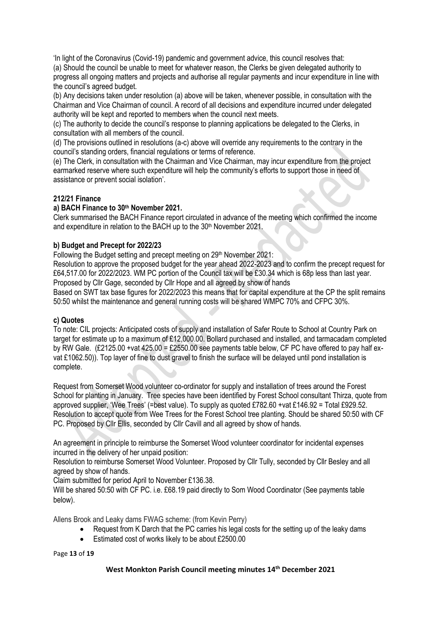'In light of the Coronavirus (Covid-19) pandemic and government advice, this council resolves that: (a) Should the council be unable to meet for whatever reason, the Clerks be given delegated authority to progress all ongoing matters and projects and authorise all regular payments and incur expenditure in line with the council's agreed budget.

(b) Any decisions taken under resolution (a) above will be taken, whenever possible, in consultation with the Chairman and Vice Chairman of council. A record of all decisions and expenditure incurred under delegated authority will be kept and reported to members when the council next meets.

(c) The authority to decide the council's response to planning applications be delegated to the Clerks, in consultation with all members of the council.

(d) The provisions outlined in resolutions (a-c) above will override any requirements to the contrary in the council's standing orders, financial regulations or terms of reference.

(e) The Clerk, in consultation with the Chairman and Vice Chairman, may incur expenditure from the project earmarked reserve where such expenditure will help the community's efforts to support those in need of assistance or prevent social isolation'.

# **212/21 Finance**

# **a) BACH Finance to 30 th November 2021.**

Clerk summarised the BACH Finance report circulated in advance of the meeting which confirmed the income and expenditure in relation to the BACH up to the 30<sup>th</sup> November 2021.

# **b) Budget and Precept for 2022/23**

Following the Budget setting and precept meeting on 29th November 2021:

Resolution to approve the proposed budget for the year ahead 2022-2023 and to confirm the precept request for £64,517.00 for 2022/2023. WM PC portion of the Council tax will be £30.34 which is 68p less than last year. Proposed by Cllr Gage, seconded by Cllr Hope and all agreed by show of hands

Based on SWT tax base figures for 2022/2023 this means that for capital expenditure at the CP the split remains 50:50 whilst the maintenance and general running costs will be shared WMPC 70% and CFPC 30%.

# **c) Quotes**

To note: CIL projects: Anticipated costs of supply and installation of Safer Route to School at Country Park on target for estimate up to a maximum of £12,000.00. Bollard purchased and installed, and tarmacadam completed by RW Gale. (£2125.00 +vat 425.00 = £2550.00 see payments table below, CF PC have offered to pay half exvat £1062.50)). Top layer of fine to dust gravel to finish the surface will be delayed until pond installation is complete.

Request from Somerset Wood volunteer co-ordinator for supply and installation of trees around the Forest School for planting in January. Tree species have been identified by Forest School consultant Thirza, quote from approved supplier, 'Wee Trees' (=best value). To supply as quoted £782.60 +vat £146.92 = Total £929.52. Resolution to accept quote from Wee Trees for the Forest School tree planting. Should be shared 50:50 with CF PC. Proposed by Cllr Ellis, seconded by Cllr Cavill and all agreed by show of hands.

An agreement in principle to reimburse the Somerset Wood volunteer coordinator for incidental expenses incurred in the delivery of her unpaid position:

Resolution to reimburse Somerset Wood Volunteer. Proposed by Cllr Tully, seconded by Cllr Besley and all agreed by show of hands.

Claim submitted for period April to November £136.38.

Will be shared 50:50 with CF PC. i.e. £68.19 paid directly to Som Wood Coordinator (See payments table below).

Allens Brook and Leaky dams FWAG scheme: (from Kevin Perry)

- Request from K Darch that the PC carries his legal costs for the setting up of the leaky dams
- Estimated cost of works likely to be about £2500.00

Page **13** of **19**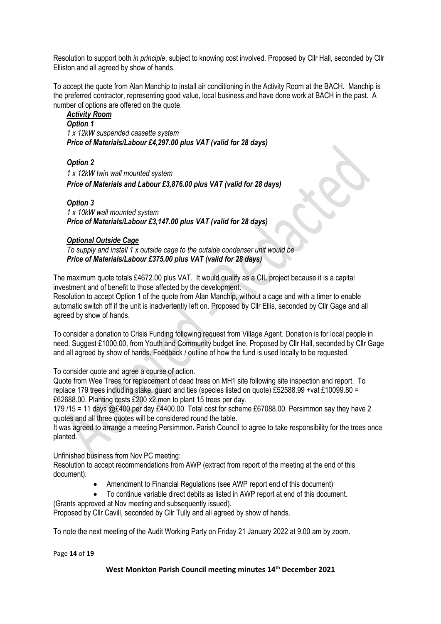Resolution to support both *in principle*, subject to knowing cost involved. Proposed by Cllr Hall, seconded by Cllr Elliston and all agreed by show of hands.

To accept the quote from Alan Manchip to install air conditioning in the Activity Room at the BACH. Manchip is the preferred contractor, representing good value, local business and have done work at BACH in the past. A number of options are offered on the quote.

*Activity Room Option 1 1 x 12kW suspended cassette system Price of Materials/Labour £4,297.00 plus VAT (valid for 28 days)*

*Option 2 1 x 12kW twin wall mounted system Price of Materials and Labour £3,876.00 plus VAT (valid for 28 days)*

*Option 3 1 x 10kW wall mounted system Price of Materials/Labour £3,147.00 plus VAT (valid for 28 days)*

#### *Optional Outside Cage*

*To supply and install 1 x outside cage to the outside condenser unit would be Price of Materials/Labour £375.00 plus VAT (valid for 28 days)*

The maximum quote totals £4672.00 plus VAT. It would qualify as a CIL project because it is a capital investment and of benefit to those affected by the development.

Resolution to accept Option 1 of the quote from Alan Manchip, without a cage and with a timer to enable automatic switch off if the unit is inadvertently left on. Proposed by Cllr Ellis, seconded by Cllr Gage and all agreed by show of hands.

To consider a donation to Crisis Funding following request from Village Agent. Donation is for local people in need. Suggest £1000.00, from Youth and Community budget line. Proposed by Cllr Hall, seconded by Cllr Gage and all agreed by show of hands. Feedback / outline of how the fund is used locally to be requested.

To consider quote and agree a course of action.

Quote from Wee Trees for replacement of dead trees on MH1 site following site inspection and report. To replace 179 trees including stake, guard and ties (species listed on quote) £52588.99 +vat £10099.80 = £62688.00. Planting costs £200 x2 men to plant 15 trees per day.

179 /15 = 11 days @£400 per day £4400.00. Total cost for scheme £67088.00. Persimmon say they have 2 quotes and all three quotes will be considered round the table.

It was agreed to arrange a meeting Persimmon. Parish Council to agree to take responsibility for the trees once planted.

Unfinished business from Nov PC meeting:

Resolution to accept recommendations from AWP (extract from report of the meeting at the end of this document):

- Amendment to Financial Regulations (see AWP report end of this document)
- To continue variable direct debits as listed in AWP report at end of this document.
- (Grants approved at Nov meeting and subsequently issued).

Proposed by Cllr Cavill, seconded by Cllr Tully and all agreed by show of hands.

To note the next meeting of the Audit Working Party on Friday 21 January 2022 at 9.00 am by zoom.

Page **14** of **19**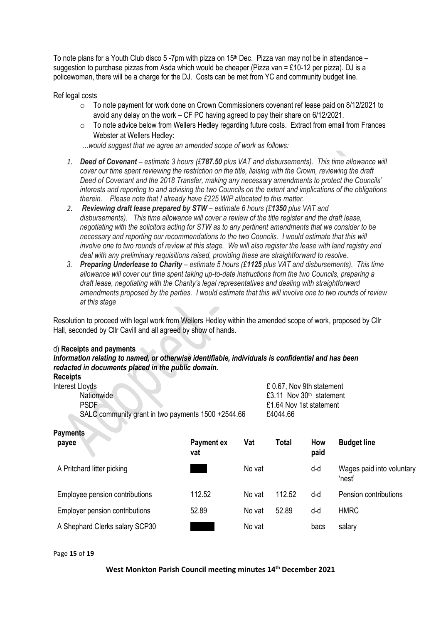To note plans for a Youth Club disco 5 -7pm with pizza on  $15<sup>th</sup>$  Dec. Pizza van may not be in attendance – suggestion to purchase pizzas from Asda which would be cheaper (Pizza van = £10-12 per pizza). DJ is a policewoman, there will be a charge for the DJ. Costs can be met from YC and community budget line.

Ref legal costs

- o To note payment for work done on Crown Commissioners covenant ref lease paid on 8/12/2021 to avoid any delay on the work – CF PC having agreed to pay their share on 6/12/2021.
- o To note advice below from Wellers Hedley regarding future costs. Extract from email from Frances Webster at Wellers Hedley:
- *…would suggest that we agree an amended scope of work as follows:*
- *1. Deed of Covenant – estimate 3 hours (£787.50 plus VAT and disbursements). This time allowance will cover our time spent reviewing the restriction on the title, liaising with the Crown, reviewing the draft Deed of Covenant and the 2018 Transfer, making any necessary amendments to protect the Councils' interests and reporting to and advising the two Councils on the extent and implications of the obligations therein. Please note that I already have £225 WIP allocated to this matter.*
- *2. Reviewing draft lease prepared by STW – estimate 6 hours (£1350 plus VAT and disbursements). This time allowance will cover a review of the title register and the draft lease, negotiating with the solicitors acting for STW as to any pertinent amendments that we consider to be necessary and reporting our recommendations to the two Councils. I would estimate that this will involve one to two rounds of review at this stage. We will also register the lease with land registry and deal with any preliminary requisitions raised, providing these are straightforward to resolve.*
- *3. Preparing Underlease to Charity – estimate 5 hours (£1125 plus VAT and disbursements). This time allowance will cover our time spent taking up-to-date instructions from the two Councils, preparing a draft lease, negotiating with the Charity's legal representatives and dealing with straightforward amendments proposed by the parties. I would estimate that this will involve one to two rounds of review at this stage*

Resolution to proceed with legal work from Wellers Hedley within the amended scope of work, proposed by Cllr Hall, seconded by Cllr Cavill and all agreed by show of hands.

#### d) **Receipts and payments**

*Information relating to named, or otherwise identifiable, individuals is confidential and has been redacted in documents placed in the public domain.*

| <b>Receipts</b>                                    |                          |                         |                           |                            |                                     |  |  |  |  |
|----------------------------------------------------|--------------------------|-------------------------|---------------------------|----------------------------|-------------------------------------|--|--|--|--|
| Interest Lloyds                                    |                          |                         | £ 0.67, Nov 9th statement |                            |                                     |  |  |  |  |
| <b>Nationwide</b>                                  |                          |                         |                           | £3.11 Nov $30th$ statement |                                     |  |  |  |  |
| <b>PSDF</b>                                        |                          | £1.64 Nov 1st statement |                           |                            |                                     |  |  |  |  |
| SALC community grant in two payments 1500 +2544.66 |                          |                         | £4044.66                  |                            |                                     |  |  |  |  |
| <b>Payments</b>                                    |                          |                         |                           |                            |                                     |  |  |  |  |
| payee                                              | <b>Payment ex</b><br>vat | Vat                     | <b>Total</b>              | How<br>paid                | <b>Budget line</b>                  |  |  |  |  |
| A Pritchard litter picking                         |                          | No vat                  |                           | d-d                        | Wages paid into voluntary<br>'nest' |  |  |  |  |
| Employee pension contributions                     | 112.52                   | No vat                  | 112.52                    | d-d                        | Pension contributions               |  |  |  |  |

| Employer pension contributions | 52.89 | No vat | 52.89 | u-u  | <b>HMRC</b> |
|--------------------------------|-------|--------|-------|------|-------------|
| A Shephard Clerks salary SCP30 |       | No vat |       | bacs | salary      |

Page **15** of **19**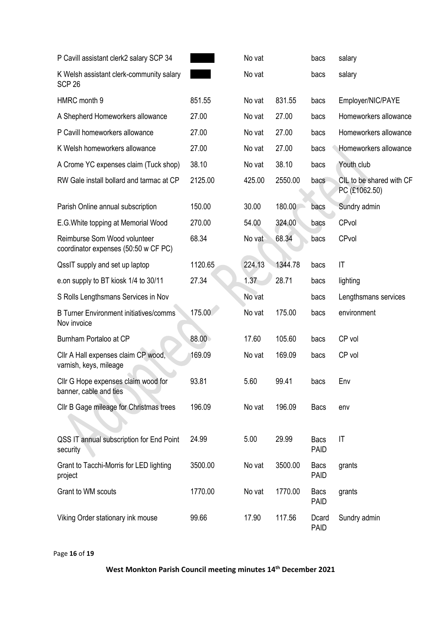| P Cavill assistant clerk2 salary SCP 34                              |         | No vat |         | bacs                       | salary                                    |
|----------------------------------------------------------------------|---------|--------|---------|----------------------------|-------------------------------------------|
| K Welsh assistant clerk-community salary<br>SCP <sub>26</sub>        |         | No vat |         | bacs                       | salary                                    |
| HMRC month 9                                                         | 851.55  | No vat | 831.55  | bacs                       | Employer/NIC/PAYE                         |
| A Shepherd Homeworkers allowance                                     | 27.00   | No vat | 27.00   | bacs                       | Homeworkers allowance                     |
| P Cavill homeworkers allowance                                       | 27.00   | No vat | 27.00   | bacs                       | Homeworkers allowance                     |
| K Welsh homeworkers allowance                                        | 27.00   | No vat | 27.00   | bacs                       | Homeworkers allowance                     |
| A Crome YC expenses claim (Tuck shop)                                | 38.10   | No vat | 38.10   | bacs                       | Youth club                                |
| RW Gale install bollard and tarmac at CP                             | 2125.00 | 425.00 | 2550.00 | bacs                       | CIL to be shared with CF<br>PC (£1062.50) |
| Parish Online annual subscription                                    | 150.00  | 30.00  | 180.00  | bacs                       | Sundry admin                              |
| E.G. White topping at Memorial Wood                                  | 270.00  | 54.00  | 324.00  | bacs                       | CPvol                                     |
| Reimburse Som Wood volunteer<br>coordinator expenses (50:50 w CF PC) | 68.34   | No vat | 68.34   | bacs                       | CPvol                                     |
| QssIT supply and set up laptop                                       | 1120.65 | 224.13 | 1344.78 | bacs                       | $\mathsf{I}\mathsf{T}$                    |
| e.on supply to BT kiosk 1/4 to 30/11                                 | 27.34   | 1.37   | 28.71   | bacs                       | lighting                                  |
| S Rolls Lengthsmans Services in Nov                                  |         | No vat |         | bacs                       | Lengthsmans services                      |
| <b>B Turner Environment initiatives/comms</b><br>Nov invoice         | 175.00  | No vat | 175.00  | bacs                       | environment                               |
| Burnham Portaloo at CP                                               | 88.00   | 17.60  | 105.60  | bacs                       | CP vol                                    |
| Cllr A Hall expenses claim CP wood,<br>varnish, keys, mileage        | 169.09  | No vat | 169.09  | bacs                       | CP vol                                    |
| Cllr G Hope expenses claim wood for<br>banner, cable and ties        | 93.81   | 5.60   | 99.41   | bacs                       | Env                                       |
| Cllr B Gage mileage for Christmas trees                              | 196.09  | No vat | 196.09  | <b>Bacs</b>                | env                                       |
| QSS IT annual subscription for End Point<br>security                 | 24.99   | 5.00   | 29.99   | <b>Bacs</b><br><b>PAID</b> | $\mathsf{I}\mathsf{T}$                    |
| Grant to Tacchi-Morris for LED lighting<br>project                   | 3500.00 | No vat | 3500.00 | <b>Bacs</b><br><b>PAID</b> | grants                                    |
| Grant to WM scouts                                                   | 1770.00 | No vat | 1770.00 | <b>Bacs</b>                | grants                                    |
|                                                                      |         |        |         | <b>PAID</b>                |                                           |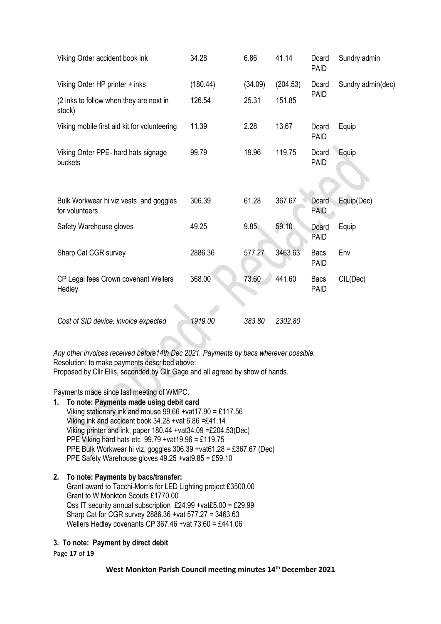| Viking Order accident book ink                           | 34.28    | 6.86    | 41.14    | Dcard<br>PAID               | Sundry admin      |  |
|----------------------------------------------------------|----------|---------|----------|-----------------------------|-------------------|--|
| Viking Order HP printer + inks                           | (180.44) | (34.09) | (204.53) | Dcard                       | Sundry admin(dec) |  |
| (2 inks to follow when they are next in<br>stock)        | 126.54   | 25.31   | 151.85   | <b>PAID</b>                 |                   |  |
| Viking mobile first aid kit for volunteering             | 11.39    | 2.28    | 13.67    | Dcard<br><b>PAID</b>        | Equip             |  |
| Viking Order PPE- hard hats signage<br>buckets           | 99.79    | 19.96   | 119.75   | Dcard<br><b>PAID</b>        | Equip             |  |
| Bulk Workwear hi viz vests and goggles<br>for volunteers | 306.39   | 61.28   | 367.67   | <b>Dcard</b><br><b>PAID</b> | Equip(Dec)        |  |
| Safety Warehouse gloves                                  | 49.25    | 9.85    | 59.10    | Dcard<br><b>PAID</b>        | Equip             |  |
| Sharp Cat CGR survey                                     | 2886.36  | 577.27  | 3463.63  | <b>Bacs</b><br><b>PAID</b>  | Env               |  |
| CP Legal fees Crown covenant Wellers<br>Hedley           | 368.00   | 73.60   | 441.60   | <b>Bacs</b><br><b>PAID</b>  | CIL(Dec)          |  |
| Cost of SID device, invoice expected                     | 1919.00  | 383.80  | 2302.80  |                             |                   |  |

*Any other invoices received before14th Dec 2021. Payments by bacs wherever possible.* Resolution: to make payments described above: Proposed by Cllr Ellis, seconded by Cllr Gage and all agreed by show of hands.

Payments made since last meeting of WMPC.

**1. To note: Payments made using debit card** Viking stationary ink and mouse 99.66 +vat17.90 = £117.56 Viking ink and accident book 34.28 +vat 6.86 =£41.14 Viking printer and ink, paper 180.44 +vat34.09 =£204.53(Dec) PPE Viking hard hats etc 99.79 +vat19.96 = £119.75 PPE Bulk Workwear hi viz, goggles 306.39 +vat61.28 = £367.67 (Dec) PPE Safety Warehouse gloves 49.25 +vat9.85 = £59.10

# **2. To note: Payments by bacs/transfer:**

Grant award to Tacchi-Morris for LED Lighting project £3500.00 Grant to W Monkton Scouts £1770.00 Qss IT security annual subscription £24.99 +vat£5.00 = £29.99 Sharp Cat for CGR survey 2886.36 +vat 577.27 = 3463.63 Wellers Hedley covenants CP 367.46 +vat 73.60 = £441.06

# **3. To note: Payment by direct debit**

Page **17** of **19**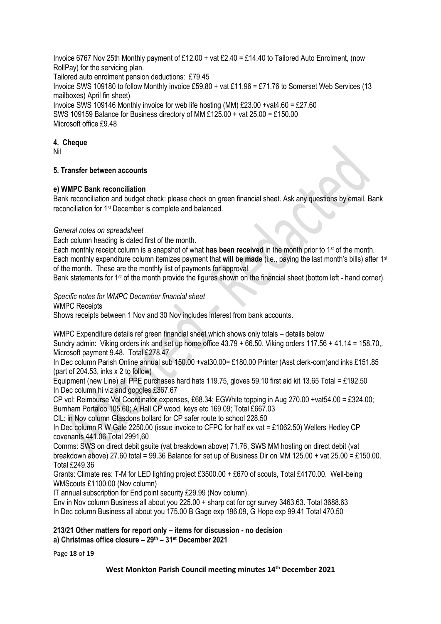Invoice 6767 Nov 25th Monthly payment of £12.00 + vat £2.40 = £14.40 to Tailored Auto Enrolment, (now RollPay) for the servicing plan. Tailored auto enrolment pension deductions: £79.45 Invoice SWS 109180 to follow Monthly invoice £59.80 + vat £11.96 = £71.76 to Somerset Web Services (13 mailboxes) April fin sheet) Invoice SWS 109146 Monthly invoice for web life hosting (MM) £23.00 +vat4.60 = £27.60 SWS 109159 Balance for Business directory of MM £125.00 + vat 25.00 = £150.00 Microsoft office £9.48

#### **4. Cheque**

Nil

# **5. Transfer between accounts**

#### **e) WMPC Bank reconciliation**

Bank reconciliation and budget check: please check on green financial sheet. Ask any questions by email. Bank reconciliation for 1st December is complete and balanced.

#### *General notes on spreadsheet*

Each column heading is dated first of the month.

Each monthly receipt column is a snapshot of what **has been received** in the month prior to 1st of the month. Each monthly expenditure column itemizes payment that **will be made** (i.e., paying the last month's bills) after 1st of the month. These are the monthly list of payments for approval.

Bank statements for 1<sup>st</sup> of the month provide the figures shown on the financial sheet (bottom left - hand corner).

#### *Specific notes for WMPC December financial sheet*

WMPC Receipts

Shows receipts between 1 Nov and 30 Nov includes interest from bank accounts.

WMPC Expenditure details ref green financial sheet which shows only totals – details below Sundry admin: Viking orders ink and set up home office 43.79 + 66.50, Viking orders 117.56 + 41.14 = 158.70,. Microsoft payment 9.48. Total £278.47

In Dec column Parish Online annual sub 150.00 +vat30.00= £180.00 Printer (Asst clerk-com)and inks £151.85 (part of 204.53, inks x 2 to follow)

Equipment (new Line) all PPE purchases hard hats 119.75, gloves 59.10 first aid kit 13.65 Total = £192.50 In Dec column hi viz and goggles £367.67

CP vol: Reimburse Vol Coordinator expenses, £68.34; EGWhite topping in Aug 270.00 +vat54.00 = £324.00; Burnham Portaloo 105.60; A Hall CP wood, keys etc 169.09; Total £667.03

CIL: in Nov column Glasdons bollard for CP safer route to school 228.50

In Dec column R W Gale 2250.00 (issue invoice to CFPC for half ex vat = £1062.50) Wellers Hedley CP covenants 441.06 Total 2991,60

Comms: SWS on direct debit gsuite (vat breakdown above) 71.76, SWS MM hosting on direct debit (vat breakdown above) 27.60 total = 99.36 Balance for set up of Business Dir on MM 125.00 + vat 25.00 = £150.00. Total £249.36

Grants: Climate res: T-M for LED lighting project £3500.00 + £670 of scouts, Total £4170.00. Well-being WMScouts £1100.00 (Nov column)

IT annual subscription for End point security £29.99 (Nov column).

Env in Nov column Business all about you 225.00 + sharp cat for cgr survey 3463.63. Total 3688.63 In Dec column Business all about you 175.00 B Gage exp 196.09, G Hope exp 99.41 Total 470.50

# **213/21 Other matters for report only – items for discussion - no decision**

**a) Christmas office closure – 29th – 31st December 2021**

Page **18** of **19**